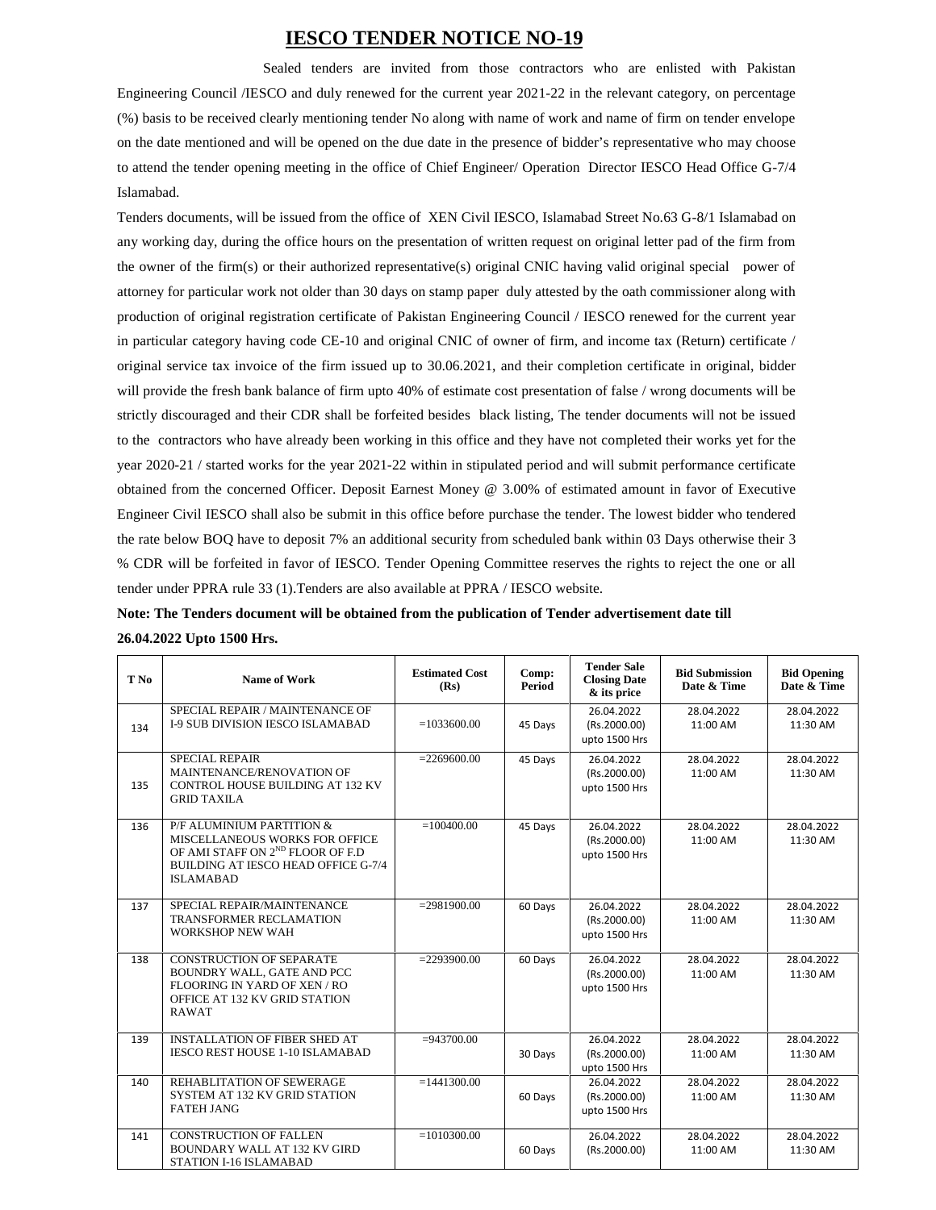## **IESCO TENDER NOTICE NO-19**

Sealed tenders are invited from those contractors who are enlisted with Pakistan Engineering Council /IESCO and duly renewed for the current year 2021-22 in the relevant category, on percentage (%) basis to be received clearly mentioning tender No along with name of work and name of firm on tender envelope on the date mentioned and will be opened on the due date in the presence of bidder's representative who may choose to attend the tender opening meeting in the office of Chief Engineer/ Operation Director IESCO Head Office G-7/4 Islamabad.

Tenders documents, will be issued from the office of XEN Civil IESCO, Islamabad Street No.63 G-8/1 Islamabad on any working day, during the office hours on the presentation of written request on original letter pad of the firm from the owner of the firm(s) or their authorized representative(s) original CNIC having valid original special power of attorney for particular work not older than 30 days on stamp paper duly attested by the oath commissioner along with production of original registration certificate of Pakistan Engineering Council / IESCO renewed for the current year in particular category having code CE-10 and original CNIC of owner of firm, and income tax (Return) certificate / original service tax invoice of the firm issued up to 30.06.2021, and their completion certificate in original, bidder will provide the fresh bank balance of firm upto 40% of estimate cost presentation of false / wrong documents will be strictly discouraged and their CDR shall be forfeited besides black listing, The tender documents will not be issued to the contractors who have already been working in this office and they have not completed their works yet for the year 2020-21 / started works for the year 2021-22 within in stipulated period and will submit performance certificate obtained from the concerned Officer. Deposit Earnest Money @ 3.00% of estimated amount in favor of Executive Engineer Civil IESCO shall also be submit in this office before purchase the tender. The lowest bidder who tendered the rate below BOQ have to deposit 7% an additional security from scheduled bank within 03 Days otherwise their 3 % CDR will be forfeited in favor of IESCO. Tender Opening Committee reserves the rights to reject the one or all tender under PPRA rule 33 (1).Tenders are also available at PPRA / IESCO website.

| Note: The Tenders document will be obtained from the publication of Tender advertisement date till |  |
|----------------------------------------------------------------------------------------------------|--|
| 26.04.2022 Upto 1500 Hrs.                                                                          |  |

| T No | <b>Name of Work</b>                                                                                                                                                    | <b>Estimated Cost</b><br>(Rs) | Comp:<br>Period | <b>Tender Sale</b><br><b>Closing Date</b><br>& its price | <b>Bid Submission</b><br>Date & Time | <b>Bid Opening</b><br>Date & Time |
|------|------------------------------------------------------------------------------------------------------------------------------------------------------------------------|-------------------------------|-----------------|----------------------------------------------------------|--------------------------------------|-----------------------------------|
| 134  | SPECIAL REPAIR / MAINTENANCE OF<br><b>I-9 SUB DIVISION IESCO ISLAMABAD</b>                                                                                             | $= 1033600.00$                | 45 Days         | 26.04.2022<br>(Rs.2000.00)<br>upto 1500 Hrs              | 28.04.2022<br>11:00 AM               | 28.04.2022<br>11:30 AM            |
| 135  | <b>SPECIAL REPAIR</b><br>MAINTENANCE/RENOVATION OF<br>CONTROL HOUSE BUILDING AT 132 KV<br><b>GRID TAXILA</b>                                                           | $= 2269600.00$                | 45 Days         | 26.04.2022<br>(Rs.2000.00)<br>upto 1500 Hrs              | 28.04.2022<br>11:00 AM               | 28.04.2022<br>11:30 AM            |
| 136  | P/F ALUMINIUM PARTITION &<br>MISCELLANEOUS WORKS FOR OFFICE<br>OF AMI STAFF ON 2 <sup>ND</sup> FLOOR OF F.D<br>BUILDING AT IESCO HEAD OFFICE G-7/4<br><b>ISLAMABAD</b> | $= 100400.00$                 | 45 Days         | 26.04.2022<br>(Rs.2000.00)<br>upto 1500 Hrs              | 28.04.2022<br>11:00 AM               | 28.04.2022<br>11:30 AM            |
| 137  | SPECIAL REPAIR/MAINTENANCE<br><b>TRANSFORMER RECLAMATION</b><br><b>WORKSHOP NEW WAH</b>                                                                                | $= 2981900.00$                | 60 Days         | 26.04.2022<br>(Rs.2000.00)<br>upto 1500 Hrs              | 28.04.2022<br>11:00 AM               | 28.04.2022<br>11:30 AM            |
| 138  | <b>CONSTRUCTION OF SEPARATE</b><br>BOUNDRY WALL, GATE AND PCC<br>FLOORING IN YARD OF XEN / RO<br>OFFICE AT 132 KV GRID STATION<br><b>RAWAT</b>                         | $= 2293900.00$                | 60 Days         | 26.04.2022<br>(Rs.2000.00)<br>upto 1500 Hrs              | 28.04.2022<br>11:00 AM               | 28.04.2022<br>11:30 AM            |
| 139  | <b>INSTALLATION OF FIBER SHED AT</b><br><b>IESCO REST HOUSE 1-10 ISLAMABAD</b>                                                                                         | $= 943700.00$                 | 30 Days         | 26.04.2022<br>(Rs.2000.00)<br>upto 1500 Hrs              | 28.04.2022<br>11:00 AM               | 28.04.2022<br>11:30 AM            |
| 140  | REHABLITATION OF SEWERAGE<br>SYSTEM AT 132 KV GRID STATION<br><b>FATEH JANG</b>                                                                                        | $= 1441300.00$                | 60 Days         | 26.04.2022<br>(Rs.2000.00)<br>upto 1500 Hrs              | 28.04.2022<br>11:00 AM               | 28.04.2022<br>11:30 AM            |
| 141  | <b>CONSTRUCTION OF FALLEN</b><br><b>BOUNDARY WALL AT 132 KV GIRD</b><br>STATION I-16 ISLAMABAD                                                                         | $= 1010300.00$                | 60 Days         | 26.04.2022<br>(Rs.2000.00)                               | 28.04.2022<br>11:00 AM               | 28.04.2022<br>11:30 AM            |